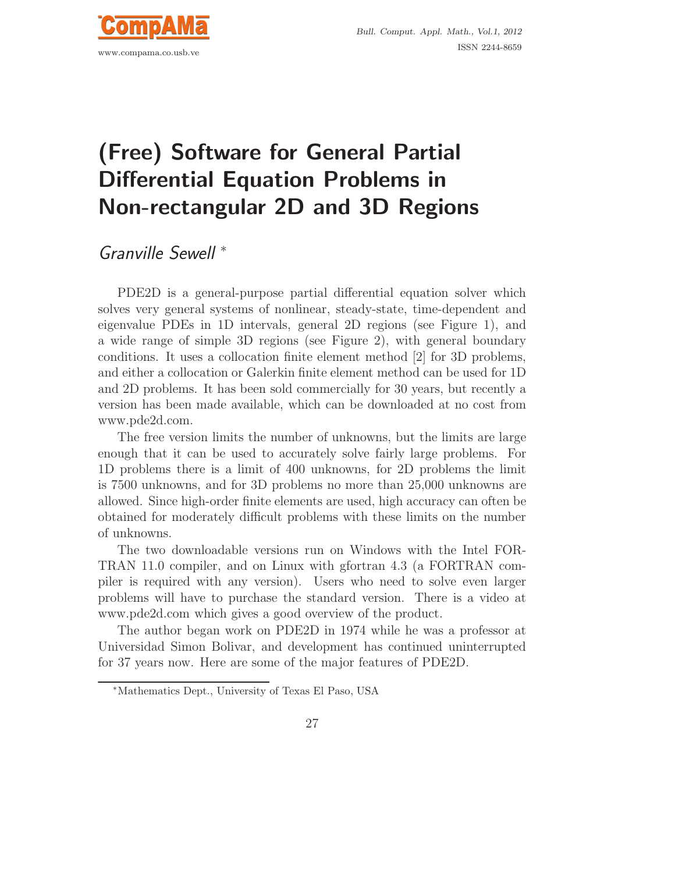

## (Free) Software for General Partial Differential Equation Problems in Non-rectangular 2D and 3D Regions

Granville Sewell <sup>∗</sup>

PDE2D is a general-purpose partial differential equation solver which solves very general systems of nonlinear, steady-state, time-dependent and eigenvalue PDEs in 1D intervals, general 2D regions (see Figure 1), and a wide range of simple 3D regions (see Figure 2), with general boundary conditions. It uses a collocation finite element method [2] for 3D problems, and either a collocation or Galerkin finite element method can be used for 1D and 2D problems. It has been sold commercially for 30 years, but recently a version has been made available, which can be downloaded at no cost from www.pde2d.com.

The free version limits the number of unknowns, but the limits are large enough that it can be used to accurately solve fairly large problems. For 1D problems there is a limit of 400 unknowns, for 2D problems the limit is 7500 unknowns, and for 3D problems no more than 25,000 unknowns are allowed. Since high-order finite elements are used, high accuracy can often be obtained for moderately difficult problems with these limits on the number of unknowns.

The two downloadable versions run on Windows with the Intel FOR-TRAN 11.0 compiler, and on Linux with gfortran 4.3 (a FORTRAN compiler is required with any version). Users who need to solve even larger problems will have to purchase the standard version. There is a video at www.pde2d.com which gives a good overview of the product.

The author began work on PDE2D in 1974 while he was a professor at Universidad Simon Bolivar, and development has continued uninterrupted for 37 years now. Here are some of the major features of PDE2D.

<sup>∗</sup>Mathematics Dept., University of Texas El Paso, USA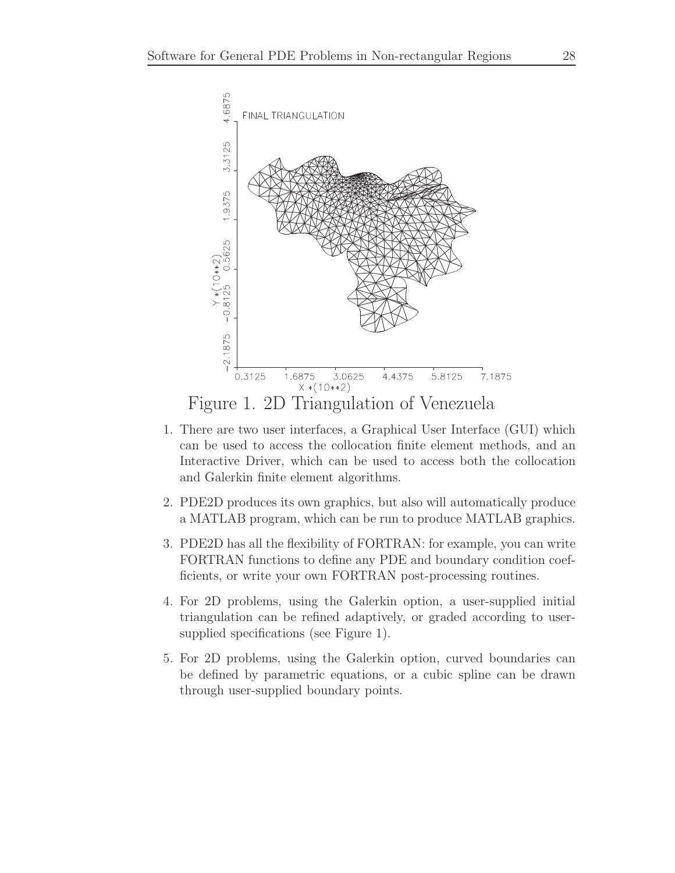

- 1. There are two user interfaces, a Graphical User Interface (GUI) which can be used to access the collocation finite element methods, and an Interactive Driver, which can be used to access both the collocation and Galerkin finite element algorithms.
- 2. PDE2D produces its own graphics, but also will automatically produce a MATLAB program, which can be run to produce MATLAB graphics.
- 3. PDE2D has all the flexibility of FORTRAN: for example, you can write FORTRAN functions to define any PDE and boundary condition coefficients, or write your own FORTRAN post-processing routines.
- 4. For 2D problems, using the Galerkin option, a user-supplied initial triangulation can be refined adaptively, or graded according to usersupplied specifications (see Figure 1).
- 5. For 2D problems, using the Galerkin option, curved boundaries can be defined by parametric equations, or a cubic spline can be drawn through user-supplied boundary points.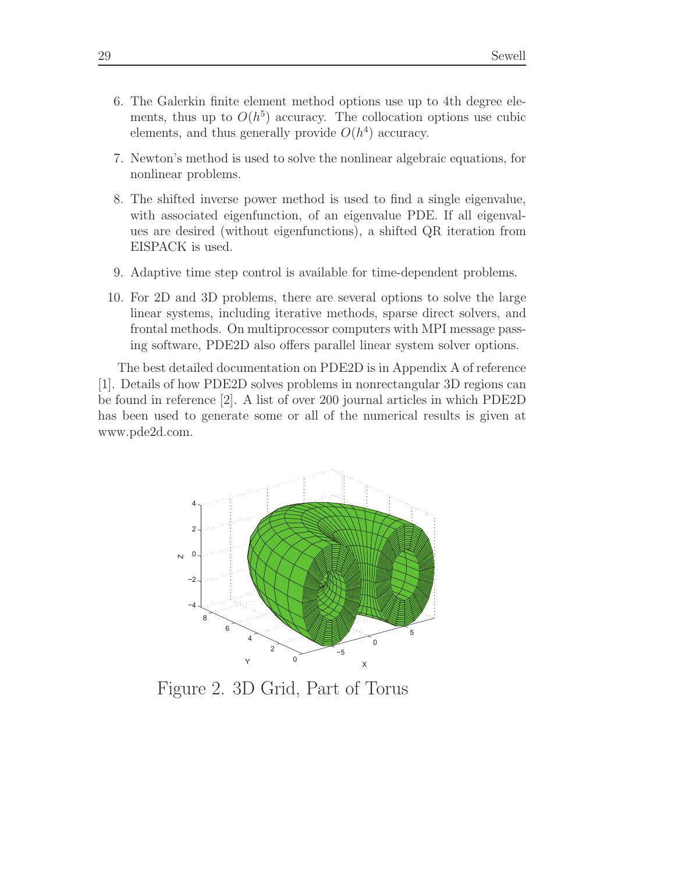- 6. The Galerkin finite element method options use up to 4th degree elements, thus up to  $O(h^5)$  accuracy. The collocation options use cubic elements, and thus generally provide  $O(h^4)$  accuracy.
- 7. Newton's method is used to solve the nonlinear algebraic equations, for nonlinear problems.
- 8. The shifted inverse power method is used to find a single eigenvalue, with associated eigenfunction, of an eigenvalue PDE. If all eigenvalues are desired (without eigenfunctions), a shifted QR iteration from EISPACK is used.
- 9. Adaptive time step control is available for time-dependent problems.
- 10. For 2D and 3D problems, there are several options to solve the large linear systems, including iterative methods, sparse direct solvers, and frontal methods. On multiprocessor computers with MPI message passing software, PDE2D also offers parallel linear system solver options.

The best detailed documentation on PDE2D is in Appendix A of reference [1]. Details of how PDE2D solves problems in nonrectangular 3D regions can be found in reference [2]. A list of over 200 journal articles in which PDE2D has been used to generate some or all of the numerical results is given at www.pde2d.com.



Figure 2. 3D Grid, Part of Torus